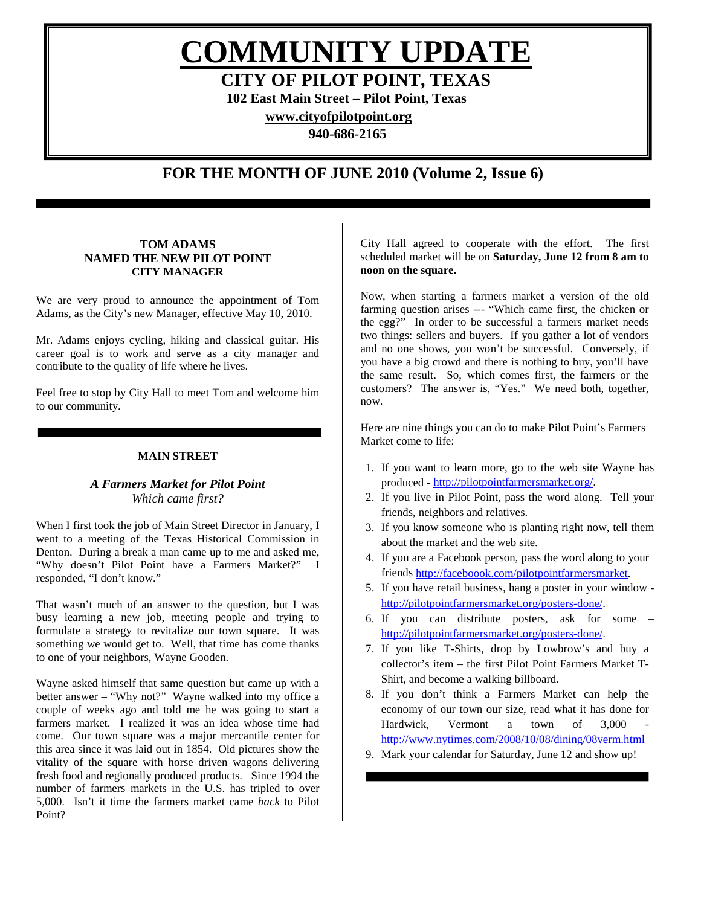**COMMUNITY UPDATE**

**CITY OF PILOT POINT, TEXAS**

**102 East Main Street – Pilot Point, Texas**

**[www.cityofpilotpoint.org](http://www.cityofpilotpoint.org/)**

**940-686-2165**

# **FOR THE MONTH OF JUNE 2010 (Volume 2, Issue 6)**

# **TOM ADAMS NAMED THE NEW PILOT POINT CITY MANAGER**

We are very proud to announce the appointment of Tom Adams, as the City's new Manager, effective May 10, 2010.

Mr. Adams enjoys cycling, hiking and classical guitar. His career goal is to work and serve as a city manager and contribute to the quality of life where he lives.

Feel free to stop by City Hall to meet Tom and welcome him to our community.

# **MAIN STREET**

# *A Farmers Market for Pilot Point Which came first?*

When I first took the job of Main Street Director in January, I went to a meeting of the Texas Historical Commission in Denton. During a break a man came up to me and asked me, "Why doesn't Pilot Point have a Farmers Market?" I responded, "I don't know."

That wasn't much of an answer to the question, but I was busy learning a new job, meeting people and trying to formulate a strategy to revitalize our town square. It was something we would get to. Well, that time has come thanks to one of your neighbors, Wayne Gooden.

Wayne asked himself that same question but came up with a better answer – "Why not?" Wayne walked into my office a couple of weeks ago and told me he was going to start a farmers market. I realized it was an idea whose time had come. Our town square was a major mercantile center for this area since it was laid out in 1854. Old pictures show the vitality of the square with horse driven wagons delivering fresh food and regionally produced products. Since 1994 the number of farmers markets in the U.S. has tripled to over 5,000. Isn't it time the farmers market came *back* to Pilot Point?

City Hall agreed to cooperate with the effort. The first scheduled market will be on **Saturday, June 12 from 8 am to noon on the square.** 

Now, when starting a farmers market a version of the old farming question arises --- "Which came first, the chicken or the egg?" In order to be successful a farmers market needs two things: sellers and buyers. If you gather a lot of vendors and no one shows, you won't be successful. Conversely, if you have a big crowd and there is nothing to buy, you'll have the same result. So, which comes first, the farmers or the customers? The answer is, "Yes." We need both, together, now.

Here are nine things you can do to make Pilot Point's Farmers Market come to life:

- 1. If you want to learn more, go to the web site Wayne has produced - [http://pilotpointfarmersmarket.org/.](http://pilotpointfarmersmarket.org/)
- 2. If you live in Pilot Point, pass the word along. Tell your friends, neighbors and relatives.
- 3. If you know someone who is planting right now, tell them about the market and the web site.
- 4. If you are a Facebook person, pass the word along to your friends [http://faceboook.com/pilotpointfarmersmarket.](http://faceboook.com/pilotpointfarmersmarket)
- 5. If you have retail business, hang a poster in your window [http://pilotpointfarmersmarket.org/posters-done/.](http://pilotpointfarmersmarket.org/posters-done/)
- 6. If you can distribute posters, ask for some [http://pilotpointfarmersmarket.org/posters-done/.](http://pilotpointfarmersmarket.org/posters-done/)
- 7. If you like T-Shirts, drop by Lowbrow's and buy a collector's item – the first Pilot Point Farmers Market T-Shirt, and become a walking billboard.
- 8. If you don't think a Farmers Market can help the economy of our town our size, read what it has done for Hardwick, Vermont a town of 3,000 <http://www.nytimes.com/2008/10/08/dining/08verm.html>
- 9. Mark your calendar for Saturday, June 12 and show up!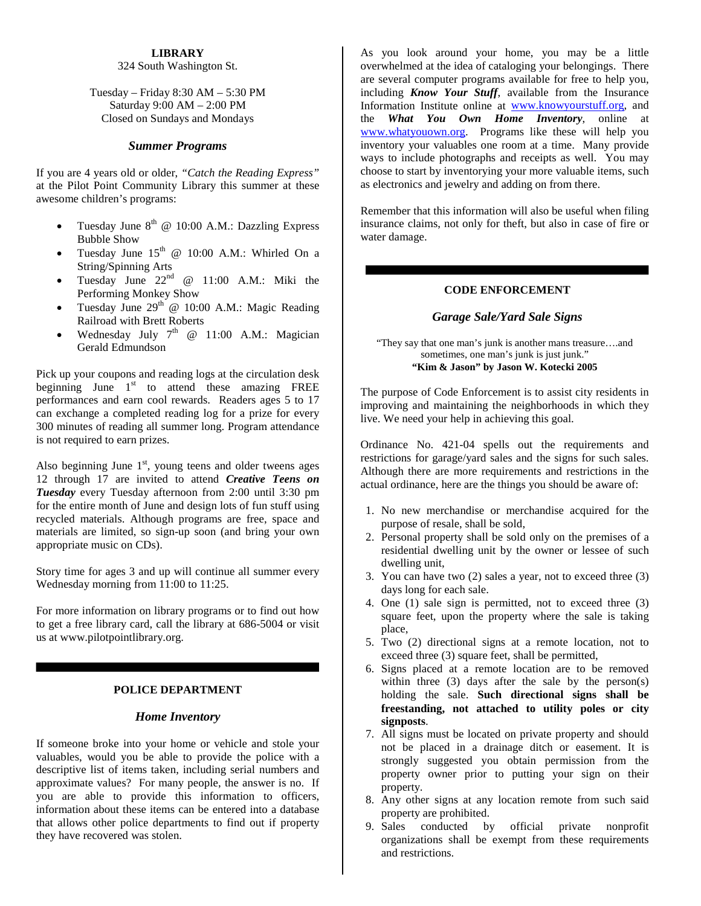# **LIBRARY**

# 324 South Washington St.

# Tuesday – Friday 8:30 AM – 5:30 PM Saturday 9:00 AM – 2:00 PM Closed on Sundays and Mondays

# *Summer Programs*

If you are 4 years old or older, *"Catch the Reading Express"* at the Pilot Point Community Library this summer at these awesome children's programs:

- Tuesday June  $8^{th}$  @ 10:00 A.M.: Dazzling Express Bubble Show
- Tuesday June  $15<sup>th</sup>$  @ 10:00 A.M.: Whirled On a String/Spinning Arts
- Tuesday June  $22^{nd}$  @ 11:00 A.M.: Miki the Performing Monkey Show
- Tuesday June  $29<sup>th</sup>$  @ 10:00 A.M.: Magic Reading Railroad with Brett Roberts
- Wednesday July  $7<sup>th</sup>$  @ 11:00 A.M.: Magician Gerald Edmundson

Pick up your coupons and reading logs at the circulation desk beginning June  $1<sup>st</sup>$  to attend these amazing FREE performances and earn cool rewards. Readers ages 5 to 17 can exchange a completed reading log for a prize for every 300 minutes of reading all summer long. Program attendance is not required to earn prizes.

Also beginning June  $1<sup>st</sup>$ , young teens and older tweens ages 12 through 17 are invited to attend *Creative Teens on Tuesday* every Tuesday afternoon from 2:00 until 3:30 pm for the entire month of June and design lots of fun stuff using recycled materials. Although programs are free, space and materials are limited, so sign-up soon (and bring your own appropriate music on CDs).

Story time for ages 3 and up will continue all summer every Wednesday morning from 11:00 to 11:25.

For more information on library programs or to find out how to get a free library card, call the library at 686-5004 or visit us at www.pilotpointlibrary.org.

# **POLICE DEPARTMENT**

#### *Home Inventory*

If someone broke into your home or vehicle and stole your valuables, would you be able to provide the police with a descriptive list of items taken, including serial numbers and approximate values? For many people, the answer is no. If you are able to provide this information to officers, information about these items can be entered into a database that allows other police departments to find out if property they have recovered was stolen.

As you look around your home, you may be a little overwhelmed at the idea of cataloging your belongings. There are several computer programs available for free to help you, including *Know Your Stuff*, available from the Insurance Information Institute online at [www.knowyourstuff.org,](http://www.knowyourstuff.org/) and the *What You Own Home Inventory*, online at [www.whatyouown.org.](http://www.whatyouown.org/) Programs like these will help you inventory your valuables one room at a time. Many provide ways to include photographs and receipts as well. You may choose to start by inventorying your more valuable items, such as electronics and jewelry and adding on from there.

Remember that this information will also be useful when filing insurance claims, not only for theft, but also in case of fire or water damage.

## **CODE ENFORCEMENT**

#### *Garage Sale/Yard Sale Signs*

#### "They say that one man's junk is another mans treasure….and sometimes, one man's junk is just junk." **"Kim & Jason" by Jason W. Kotecki 2005**

The purpose of Code Enforcement is to assist city residents in improving and maintaining the neighborhoods in which they live. We need your help in achieving this goal.

Ordinance No. 421-04 spells out the requirements and restrictions for garage/yard sales and the signs for such sales. Although there are more requirements and restrictions in the actual ordinance, here are the things you should be aware of:

- 1. No new merchandise or merchandise acquired for the purpose of resale, shall be sold,
- 2. Personal property shall be sold only on the premises of a residential dwelling unit by the owner or lessee of such dwelling unit,
- 3. You can have two (2) sales a year, not to exceed three (3) days long for each sale.
- 4. One (1) sale sign is permitted, not to exceed three (3) square feet, upon the property where the sale is taking place,
- 5. Two (2) directional signs at a remote location, not to exceed three (3) square feet, shall be permitted,
- 6. Signs placed at a remote location are to be removed within three  $(3)$  days after the sale by the person $(s)$ holding the sale. **Such directional signs shall be freestanding, not attached to utility poles or city signposts**.
- 7. All signs must be located on private property and should not be placed in a drainage ditch or easement. It is strongly suggested you obtain permission from the property owner prior to putting your sign on their property.
- 8. Any other signs at any location remote from such said property are prohibited.
- 9. Sales conducted by official private nonprofit organizations shall be exempt from these requirements and restrictions.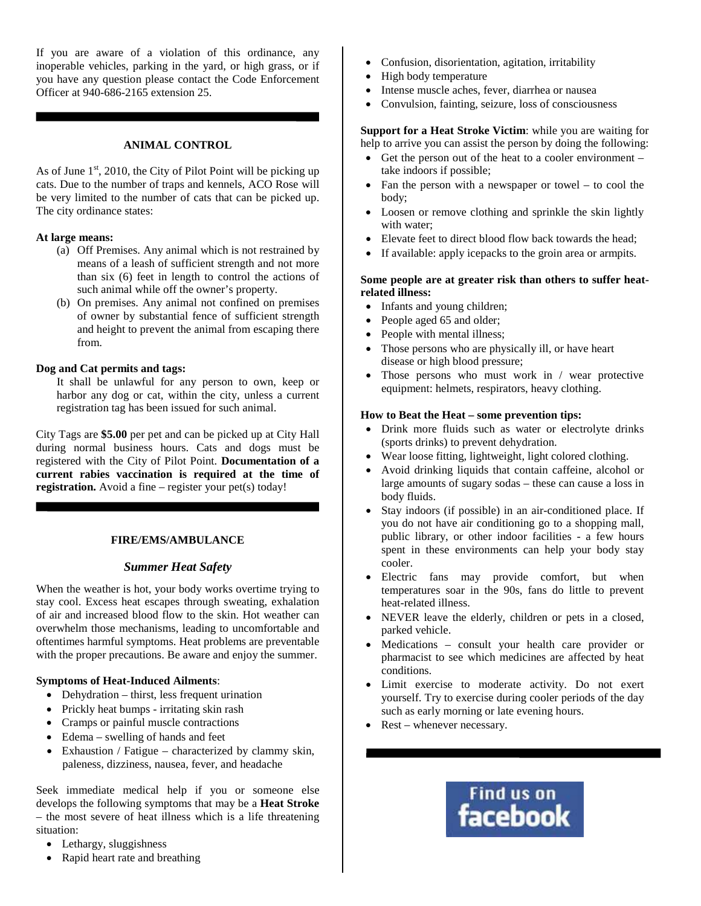If you are aware of a violation of this ordinance, any inoperable vehicles, parking in the yard, or high grass, or if you have any question please contact the Code Enforcement Officer at 940-686-2165 extension 25.

# **ANIMAL CONTROL**

As of June  $1<sup>st</sup>$ , 2010, the City of Pilot Point will be picking up cats. Due to the number of traps and kennels, ACO Rose will be very limited to the number of cats that can be picked up. The city ordinance states:

## **At large means:**

- (a) Off Premises. Any animal which is not restrained by means of a leash of sufficient strength and not more than six (6) feet in length to control the actions of such animal while off the owner's property.
- (b) On premises. Any animal not confined on premises of owner by substantial fence of sufficient strength and height to prevent the animal from escaping there from.

#### **Dog and Cat permits and tags:**

It shall be unlawful for any person to own, keep or harbor any dog or cat, within the city, unless a current registration tag has been issued for such animal.

City Tags are **\$5.00** per pet and can be picked up at City Hall during normal business hours. Cats and dogs must be registered with the City of Pilot Point. **Documentation of a current rabies vaccination is required at the time of registration.** Avoid a fine – register your pet(s) today!

# **FIRE/EMS/AMBULANCE**

# *Summer Heat Safety*

When the weather is hot, your body works overtime trying to stay cool. Excess heat escapes through sweating, exhalation of air and increased blood flow to the skin. Hot weather can overwhelm those mechanisms, leading to uncomfortable and oftentimes harmful symptoms. Heat problems are preventable with the proper precautions. Be aware and enjoy the summer.

#### **Symptoms of Heat-Induced Ailments**:

- Dehydration thirst, less frequent urination
- Prickly heat bumps irritating skin rash
- Cramps or painful muscle contractions
- Edema swelling of hands and feet
- Exhaustion / Fatigue characterized by clammy skin, paleness, dizziness, nausea, fever, and headache

Seek immediate medical help if you or someone else develops the following symptoms that may be a **Heat Stroke** – the most severe of heat illness which is a life threatening situation:

- Lethargy, sluggishness
- Rapid heart rate and breathing
- Confusion, disorientation, agitation, irritability
- High body temperature
- Intense muscle aches, fever, diarrhea or nausea
- Convulsion, fainting, seizure, loss of consciousness

# **Support for a Heat Stroke Victim**: while you are waiting for help to arrive you can assist the person by doing the following:

- Get the person out of the heat to a cooler environment take indoors if possible;
- Fan the person with a newspaper or towel to cool the body;
- Loosen or remove clothing and sprinkle the skin lightly with water;
- Elevate feet to direct blood flow back towards the head;
- If available: apply icepacks to the groin area or armpits.

# **Some people are at greater risk than others to suffer heatrelated illness:**

- Infants and young children;
- People aged 65 and older;
- People with mental illness;
- Those persons who are physically ill, or have heart disease or high blood pressure;
- Those persons who must work in / wear protective equipment: helmets, respirators, heavy clothing.

## **How to Beat the Heat – some prevention tips:**

- Drink more fluids such as water or electrolyte drinks (sports drinks) to prevent dehydration.
- Wear loose fitting, lightweight, light colored clothing.
- Avoid drinking liquids that contain caffeine, alcohol or large amounts of sugary sodas – these can cause a loss in body fluids.
- Stay indoors (if possible) in an air-conditioned place. If you do not have air conditioning go to a shopping mall, public library, or other indoor facilities - a few hours spent in these environments can help your body stay cooler.
- Electric fans may provide comfort, but when temperatures soar in the 90s, fans do little to prevent heat-related illness.
- NEVER leave the elderly, children or pets in a closed, parked vehicle.
- Medications consult your health care provider or pharmacist to see which medicines are affected by heat conditions.
- Limit exercise to moderate activity. Do not exert yourself. Try to exercise during cooler periods of the day such as early morning or late evening hours.
- Rest whenever necessary.

# Find us on<br>**facebook**